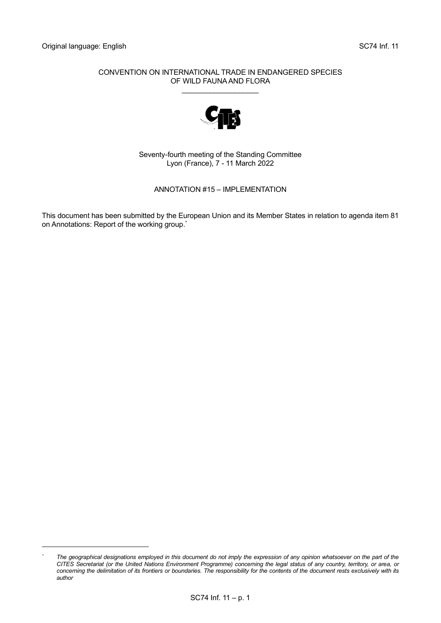### CONVENTION ON INTERNATIONAL TRADE IN ENDANGERED SPECIES OF WILD FAUNA AND FLORA

\_\_\_\_\_\_\_\_\_\_\_\_\_\_\_\_\_\_\_



Seventy-fourth meeting of the Standing Committee Lyon (France), 7 - 11 March 2022

ANNOTATION #15 – IMPLEMENTATION

This document has been submitted by the European Union and its Member States in relation to agenda item 81 on Annotations: Report of the working group. \*

*<sup>\*</sup> The geographical designations employed in this document do not imply the expression of any opinion whatsoever on the part of the CITES Secretariat (or the United Nations Environment Programme) concerning the legal status of any country, territory, or area, or concerning the delimitation of its frontiers or boundaries. The responsibility for the contents of the document rests exclusively with its author*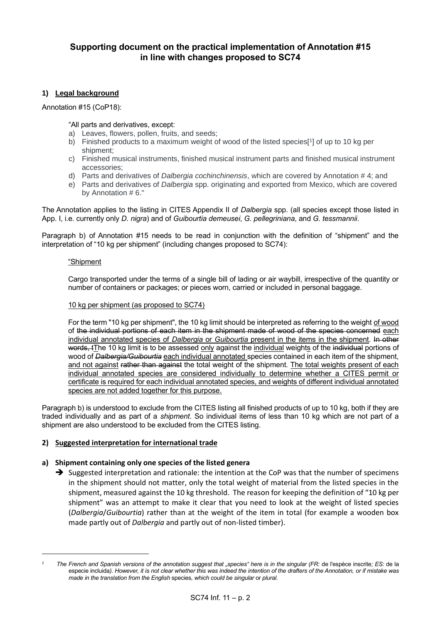# **Supporting document on the practical implementation of Annotation #15 in line with changes proposed to SC74**

## **1) Legal background**

Annotation #15 (CoP18):

"All parts and derivatives, except:

- a) Leaves, flowers, pollen, fruits, and seeds;
- b) Finished products to a maximum weight of wood of the listed species[<sup>1</sup> ] of up to 10 kg per shipment;
- c) Finished musical instruments, finished musical instrument parts and finished musical instrument accessories;
- d) Parts and derivatives of *Dalbergia cochinchinensis*, which are covered by Annotation # 4; and
- e) Parts and derivatives of *Dalbergia* spp. originating and exported from Mexico, which are covered by Annotation # 6."

The Annotation applies to the listing in CITES Appendix II of *Dalbergia* spp. (all species except those listed in App. I, i.e. currently only *D. nigra*) and of *Guibourtia demeusei*, *G. pellegriniana*, and *G. tessmannii*.

Paragraph b) of Annotation #15 needs to be read in conjunction with the definition of "shipment" and the interpretation of "10 kg per shipment" (including changes proposed to SC74):

### "Shipment

Cargo transported under the terms of a single bill of lading or air waybill, irrespective of the quantity or number of containers or packages; or pieces worn, carried or included in personal baggage.

### 10 kg per shipment (as proposed to SC74)

For the term "10 kg per shipment", the 10 kg limit should be interpreted as referring to the weight of wood of the individual portions of each item in the shipment made of wood of the species concerned each individual annotated species of *Dalbergia* or *Guibourtia* present in the items in the shipment. In other words, tThe 10 kg limit is to be assessed only against the individual weights of the individual portions of wood of *Dalbergia/Guibourtia* each individual annotated species contained in each item of the shipment, and not against rather than against the total weight of the shipment. The total weights present of each individual annotated species are considered individually to determine whether a CITES permit or certificate is required for each individual annotated species, and weights of different individual annotated species are not added together for this purpose.

Paragraph b) is understood to exclude from the CITES listing all finished products of up to 10 kg, both if they are traded individually and as part of a *shipment*. So individual items of less than 10 kg which are not part of a shipment are also understood to be excluded from the CITES listing.

### **2) Suggested interpretation for international trade**

### **a) Shipment containing only one species of the listed genera**

➔ Suggested interpretation and rationale: the intention at the CoP was that the number of specimens in the shipment should not matter, only the total weight of material from the listed species in the shipment, measured against the 10 kg threshold. The reason for keeping the definition of "10 kg per shipment" was an attempt to make it clear that you need to look at the weight of listed species (*Dalbergia*/*Guibourtia*) rather than at the weight of the item in total (for example a wooden box made partly out of *Dalbergia* and partly out of non-listed timber).

*<sup>1</sup> The French and Spanish versions of the annotation suggest that "species" here is in the singular (FR:* de l'espèce inscrite*; ES:* de la especie incluida*). However, it is not clear whether this was indeed the intention of the drafters of the Annotation, or if mistake was made in the translation from the English* species*, which could be singular* or *plural.*